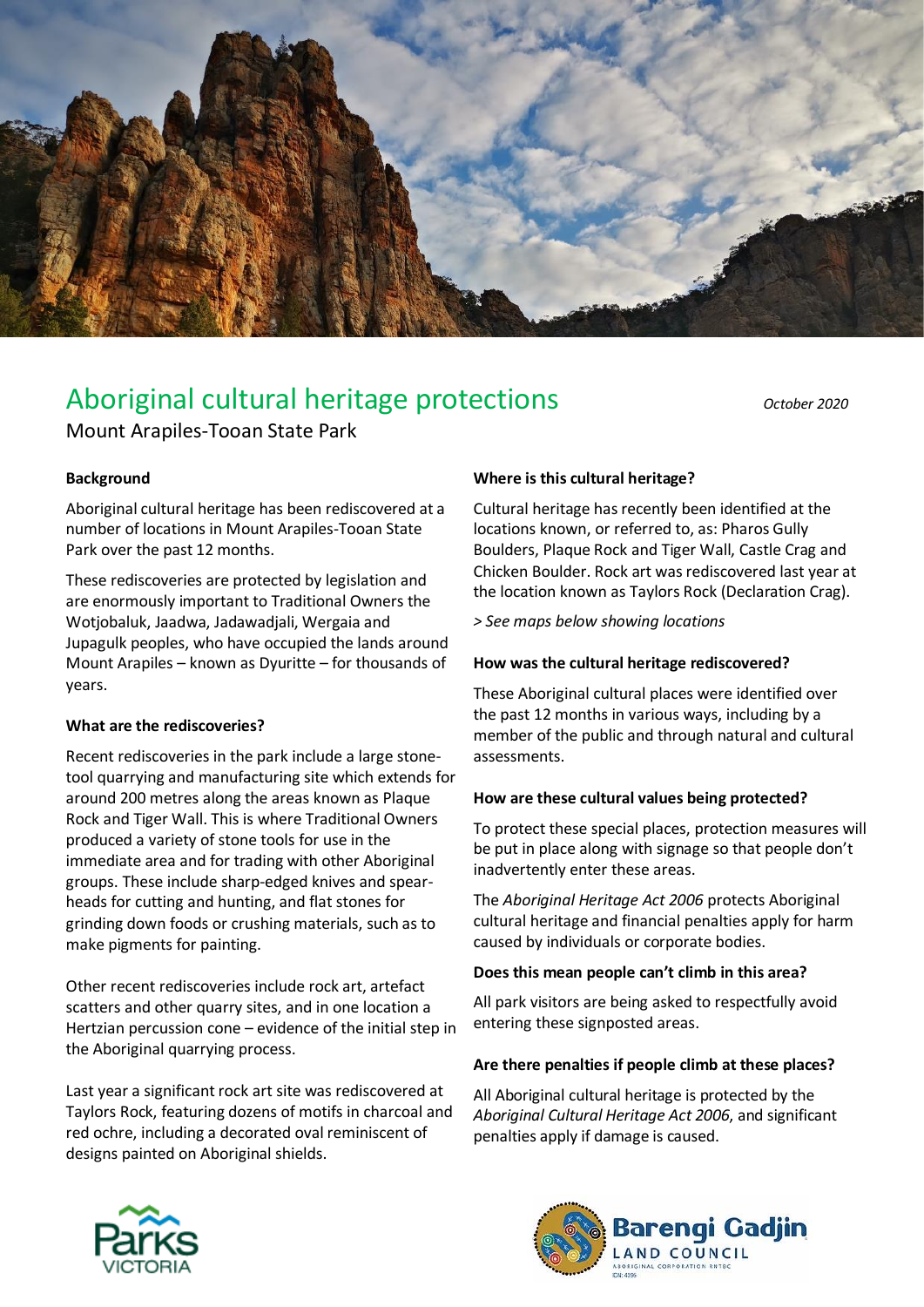

# Aboriginal cultural heritage protections *October 2020*

## Mount Arapiles-Tooan State Park

#### **Background**

Aboriginal cultural heritage has been rediscovered at a number of locations in Mount Arapiles-Tooan State Park over the past 12 months.

These rediscoveries are protected by legislation and are enormously important to Traditional Owners the Wotjobaluk, Jaadwa, Jadawadjali, Wergaia and Jupagulk peoples, who have occupied the lands around Mount Arapiles – known as Dyuritte – for thousands of years.

#### **What are the rediscoveries?**

Recent rediscoveries in the park include a large stonetool quarrying and manufacturing site which extends for around 200 metres along the areas known as Plaque Rock and Tiger Wall. This is where Traditional Owners produced a variety of stone tools for use in the immediate area and for trading with other Aboriginal groups. These include sharp-edged knives and spearheads for cutting and hunting, and flat stones for grinding down foods or crushing materials, such as to make pigments for painting.

Other recent rediscoveries include rock art, artefact scatters and other quarry sites, and in one location a Hertzian percussion cone – evidence of the initial step in the Aboriginal quarrying process.

Last year a significant rock art site was rediscovered at Taylors Rock, featuring dozens of motifs in charcoal and red ochre, including a decorated oval reminiscent of designs painted on Aboriginal shields.

#### **Where is this cultural heritage?**

Cultural heritage has recently been identified at the locations known, or referred to, as: Pharos Gully Boulders, Plaque Rock and Tiger Wall, Castle Crag and Chicken Boulder. Rock art was rediscovered last year at the location known as Taylors Rock (Declaration Crag).

*> See maps below showing locations*

#### **How was the cultural heritage rediscovered?**

These Aboriginal cultural places were identified over the past 12 months in various ways, including by a member of the public and through natural and cultural assessments.

#### **How are these cultural values being protected?**

To protect these special places, protection measures will be put in place along with signage so that people don't inadvertently enter these areas.

The *Aboriginal Heritage Act 2006* protects Aboriginal cultural heritage and financial penalties apply for harm caused by individuals or corporate bodies.

#### **Does this mean people can't climb in this area?**

All park visitors are being asked to respectfully avoid entering these signposted areas.

#### **Are there penalties if people climb at these places?**

All Aboriginal cultural heritage is protected by the *Aboriginal Cultural Heritage Act 2006*, and significant penalties apply if damage is caused.



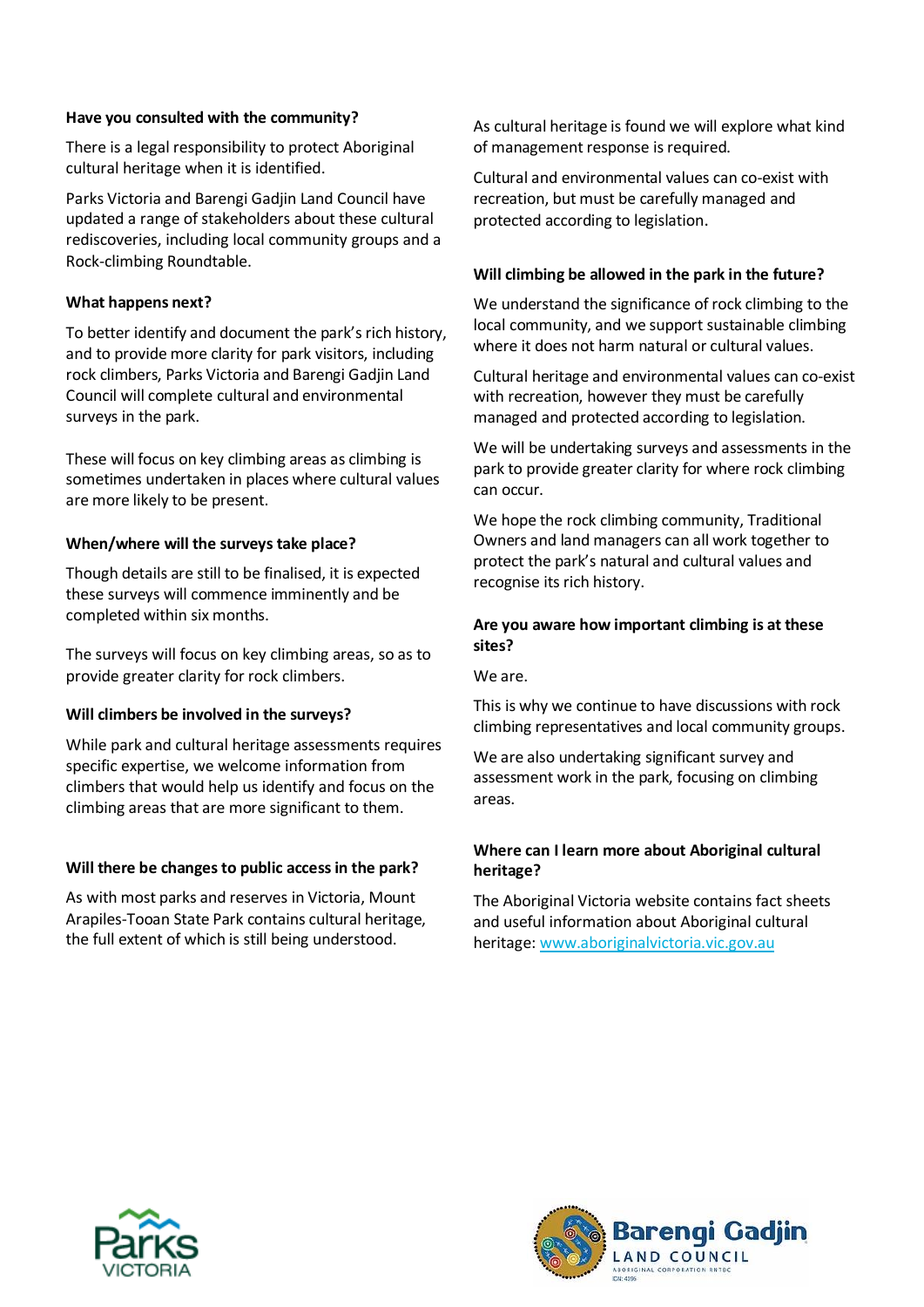#### **Have you consulted with the community?**

There is a legal responsibility to protect Aboriginal cultural heritage when it is identified.

Parks Victoria and Barengi Gadjin Land Council have updated a range of stakeholders about these cultural rediscoveries, including local community groups and a Rock-climbing Roundtable.

#### **What happens next?**

To better identify and document the park's rich history, and to provide more clarity for park visitors, including rock climbers, Parks Victoria and Barengi Gadjin Land Council will complete cultural and environmental surveys in the park.

These will focus on key climbing areas as climbing is sometimes undertaken in places where cultural values are more likely to be present.

#### **When/where will the surveys take place?**

Though details are still to be finalised, it is expected these surveys will commence imminently and be completed within six months.

The surveys will focus on key climbing areas, so as to provide greater clarity for rock climbers.

#### **Will climbers be involved in the surveys?**

While park and cultural heritage assessments requires specific expertise, we welcome information from climbers that would help us identify and focus on the climbing areas that are more significant to them.

#### **Will there be changes to public accessin the park?**

As with most parks and reserves in Victoria, Mount Arapiles-Tooan State Park contains cultural heritage, the full extent of which is still being understood.

As cultural heritage is found we will explore what kind of management response is required.

Cultural and environmental values can co-exist with recreation, but must be carefully managed and protected according to legislation.

#### **Will climbing be allowed in the park in the future?**

We understand the significance of rock climbing to the local community, and we support sustainable climbing where it does not harm natural or cultural values.

Cultural heritage and environmental values can co-exist with recreation, however they must be carefully managed and protected according to legislation.

We will be undertaking surveys and assessments in the park to provide greater clarity for where rock climbing can occur.

We hope the rock climbing community, Traditional Owners and land managers can all work together to protect the park's natural and cultural values and recognise its rich history.

#### **Are you aware how important climbing is at these sites?**

We are.

This is why we continue to have discussions with rock climbing representatives and local community groups.

We are also undertaking significant survey and assessment work in the park, focusing on climbing areas.

#### **Where can I learn more about Aboriginal cultural heritage?**

The Aboriginal Victoria website contains fact sheets and useful information about Aboriginal cultural heritage[: www.aboriginalvictoria.vic.gov.au](http://www.aboriginalvictoria.vic.gov.au/)



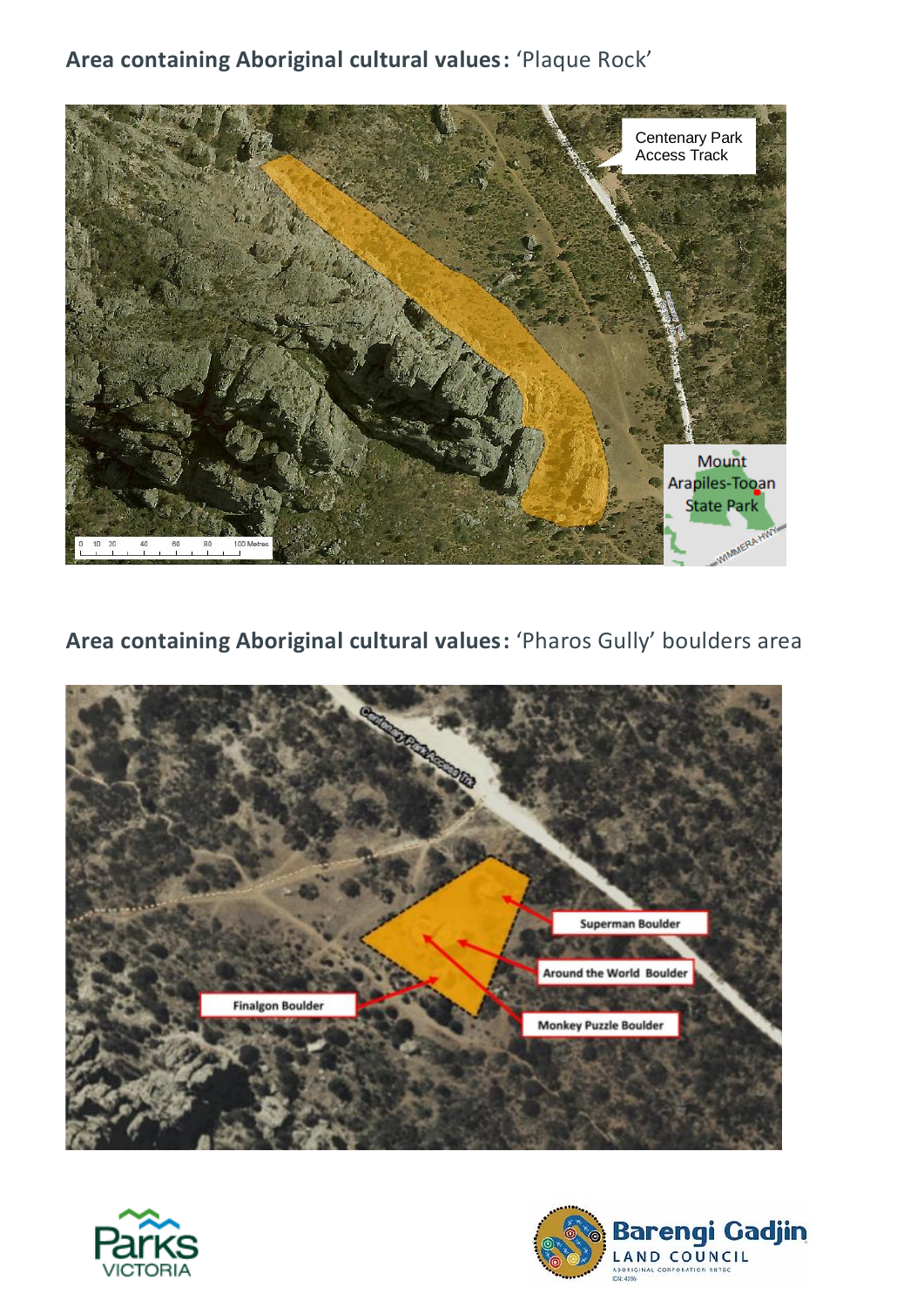### **Area containing Aboriginal cultural values:** 'Plaque Rock'



**Area containing Aboriginal cultural values:** 'Pharos Gully' boulders area





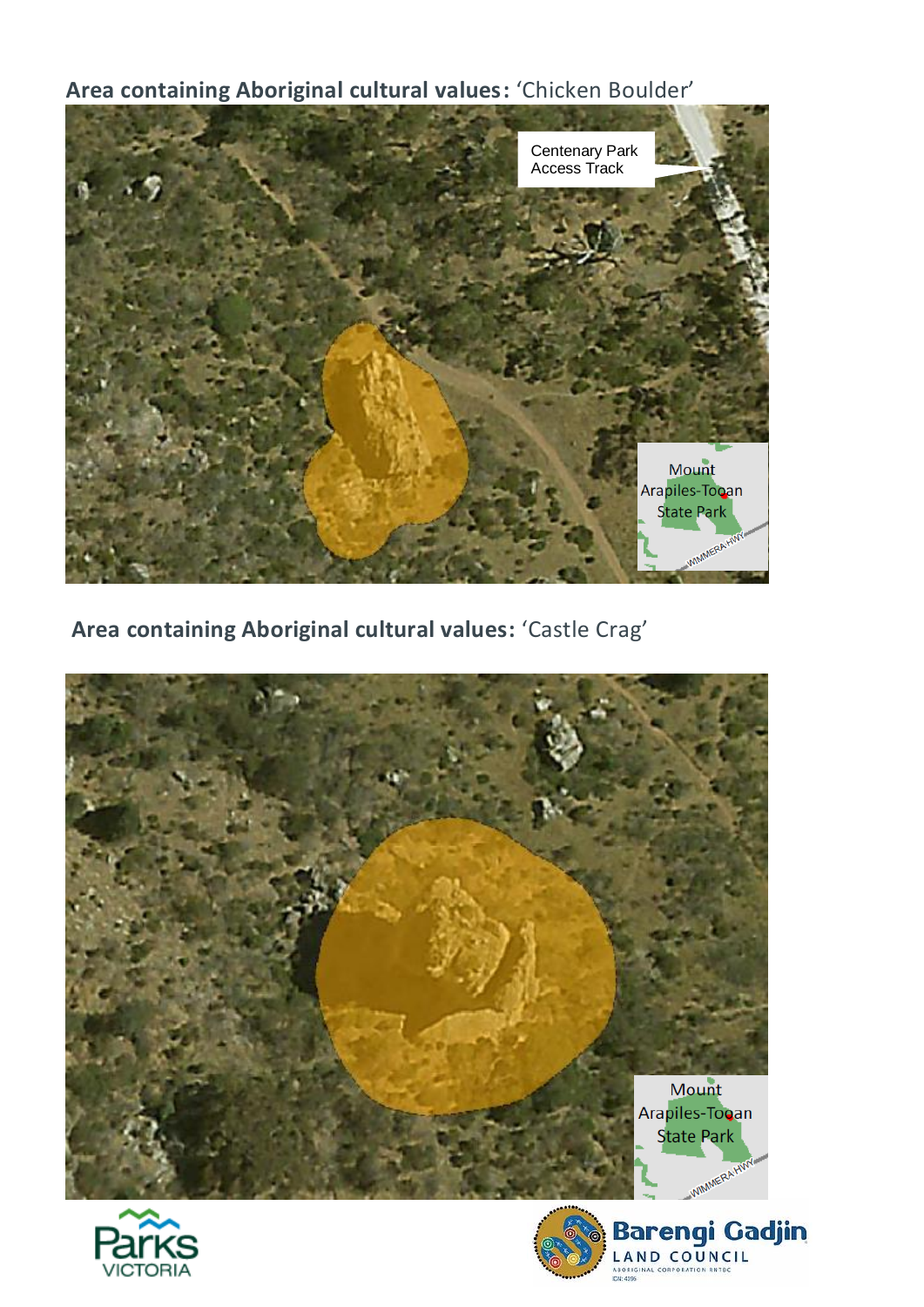**Area containing Aboriginal cultural values:** 'Chicken Boulder'



**Area containing Aboriginal cultural values:** 'Castle Crag'







Barengi Gadjin